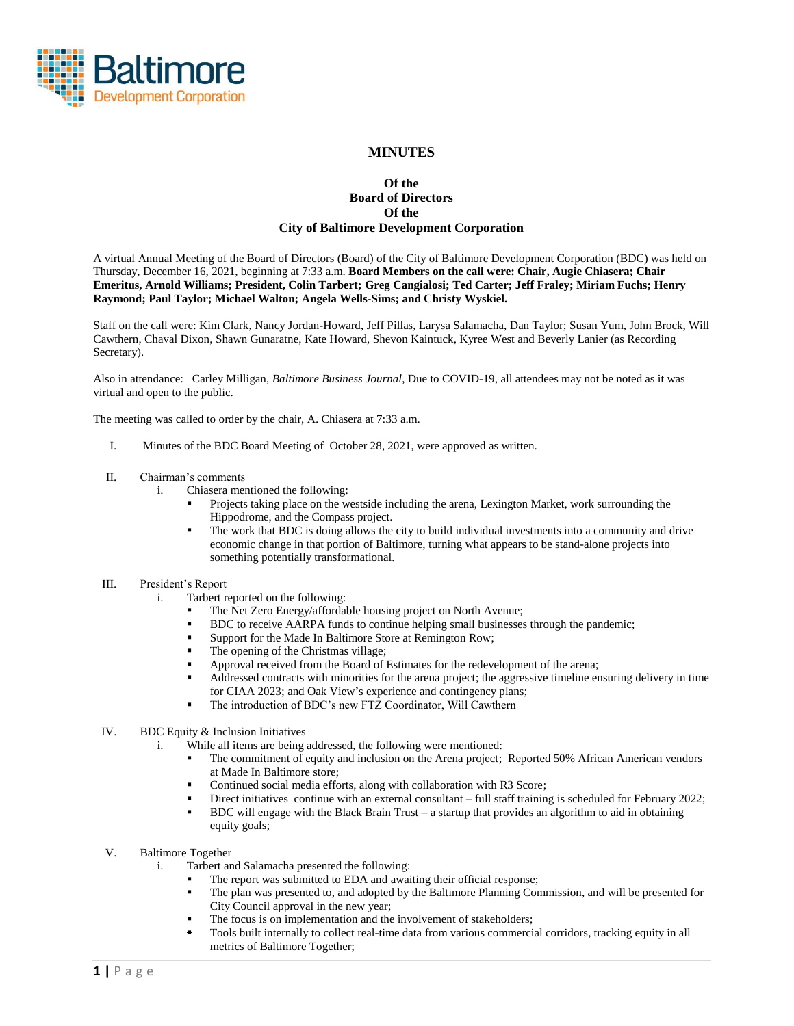

# **MINUTES**

## **Of the Board of Directors Of the City of Baltimore Development Corporation**

A virtual Annual Meeting of the Board of Directors (Board) of the City of Baltimore Development Corporation (BDC) was held on Thursday, December 16, 2021, beginning at 7:33 a.m. **Board Members on the call were: Chair, Augie Chiasera; Chair Emeritus, Arnold Williams; President, Colin Tarbert; Greg Cangialosi; Ted Carter; Jeff Fraley; Miriam Fuchs; Henry Raymond; Paul Taylor; Michael Walton; Angela Wells-Sims; and Christy Wyskiel.**

Staff on the call were: Kim Clark, Nancy Jordan-Howard, Jeff Pillas, Larysa Salamacha, Dan Taylor; Susan Yum, John Brock, Will Cawthern, Chaval Dixon, Shawn Gunaratne, Kate Howard, Shevon Kaintuck, Kyree West and Beverly Lanier (as Recording Secretary).

Also in attendance: Carley Milligan, *Baltimore Business Journal*, Due to COVID-19, all attendees may not be noted as it was virtual and open to the public.

The meeting was called to order by the chair, A. Chiasera at 7:33 a.m.

I. Minutes of the BDC Board Meeting of October 28, 2021, were approved as written.

## II. Chairman's comments

- i. Chiasera mentioned the following:
	- Projects taking place on the westside including the arena, Lexington Market, work surrounding the Hippodrome, and the Compass project.
	- The work that BDC is doing allows the city to build individual investments into a community and drive economic change in that portion of Baltimore, turning what appears to be stand-alone projects into something potentially transformational.

### III. President's Report

- i. Tarbert reported on the following:
	- The Net Zero Energy/affordable housing project on North Avenue;
	- BDC to receive AARPA funds to continue helping small businesses through the pandemic;
	- Support for the Made In Baltimore Store at Remington Row;
	- The opening of the Christmas village;
	- Approval received from the Board of Estimates for the redevelopment of the arena;
	- Addressed contracts with minorities for the arena project; the aggressive timeline ensuring delivery in time for CIAA 2023; and Oak View's experience and contingency plans;
	- The introduction of BDC's new FTZ Coordinator, Will Cawthern
- IV. BDC Equity & Inclusion Initiatives
	- i. While all items are being addressed, the following were mentioned:
		- The commitment of equity and inclusion on the Arena project; Reported 50% African American vendors at Made In Baltimore store;
		- Continued social media efforts, along with collaboration with R3 Score;
		- Direct initiatives continue with an external consultant full staff training is scheduled for February 2022;
		- BDC will engage with the Black Brain Trust a startup that provides an algorithm to aid in obtaining equity goals;
- V. Baltimore Together
	- i. Tarbert and Salamacha presented the following:
		- The report was submitted to EDA and awaiting their official response:
		- The plan was presented to, and adopted by the Baltimore Planning Commission, and will be presented for City Council approval in the new year;
		- The focus is on implementation and the involvement of stakeholders;
		- Tools built internally to collect real-time data from various commercial corridors, tracking equity in all metrics of Baltimore Together;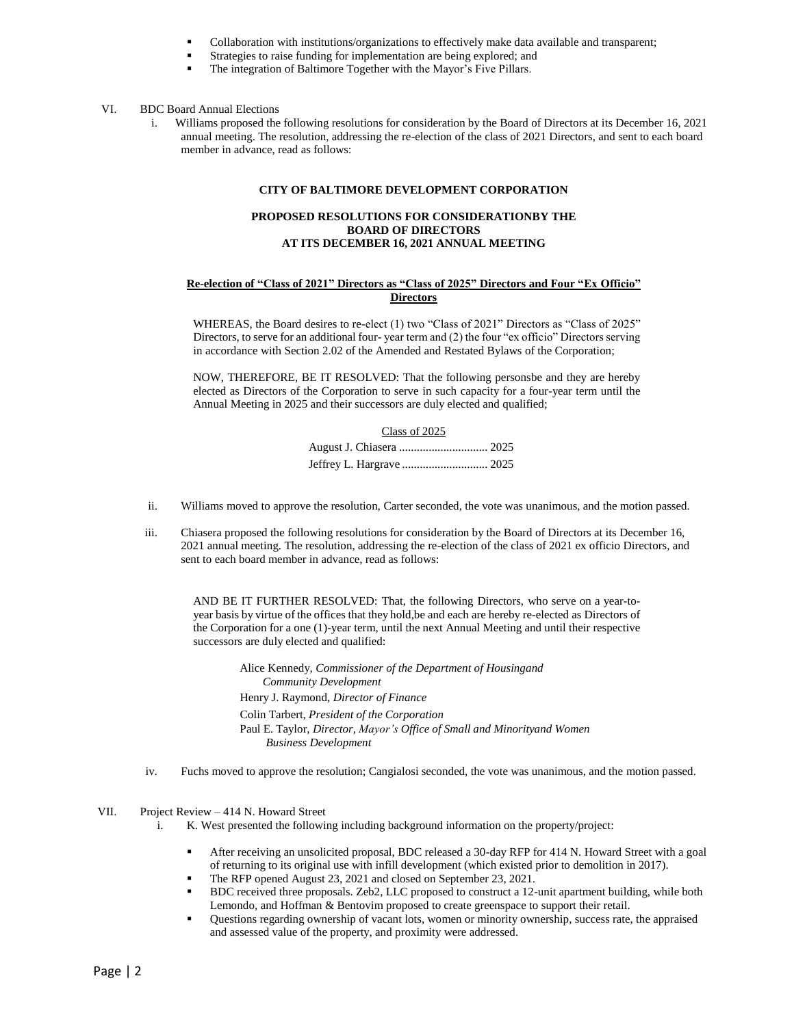- Collaboration with institutions/organizations to effectively make data available and transparent;
- Strategies to raise funding for implementation are being explored; and
- The integration of Baltimore Together with the Mayor's Five Pillars.

#### VI. BDC Board Annual Elections

i. Williams proposed the following resolutions for consideration by the Board of Directors at its December 16, 2021 annual meeting. The resolution, addressing the re-election of the class of 2021 Directors, and sent to each board member in advance, read as follows:

### **CITY OF BALTIMORE DEVELOPMENT CORPORATION**

## **PROPOSED RESOLUTIONS FOR CONSIDERATIONBY THE BOARD OF DIRECTORS AT ITS DECEMBER 16, 2021 ANNUAL MEETING**

### **Re-election of "Class of 2021" Directors as "Class of 2025" Directors and Four "Ex Officio" Directors**

WHEREAS, the Board desires to re-elect (1) two "Class of 2021" Directors as "Class of 2025" Directors, to serve for an additional four- year term and (2) the four "ex officio" Directors serving in accordance with Section 2.02 of the Amended and Restated Bylaws of the Corporation;

NOW, THEREFORE, BE IT RESOLVED: That the following personsbe and they are hereby elected as Directors of the Corporation to serve in such capacity for a four-year term until the Annual Meeting in 2025 and their successors are duly elected and qualified;

| Class of 2025 |  |
|---------------|--|
|               |  |
|               |  |

- ii. Williams moved to approve the resolution, Carter seconded, the vote was unanimous, and the motion passed.
- iii. Chiasera proposed the following resolutions for consideration by the Board of Directors at its December 16, 2021 annual meeting. The resolution, addressing the re-election of the class of 2021 ex officio Directors, and sent to each board member in advance, read as follows:

AND BE IT FURTHER RESOLVED: That, the following Directors, who serve on a year-toyear basis by virtue of the offices that they hold,be and each are hereby re-elected as Directors of the Corporation for a one (1)-year term, until the next Annual Meeting and until their respective successors are duly elected and qualified:

> Alice Kennedy, *Commissioner of the Department of Housingand Community Development* Henry J. Raymond, *Director of Finance* Colin Tarbert, *President of the Corporation* Paul E. Taylor, *Director, Mayor's Office of Small and Minorityand Women Business Development*

iv. Fuchs moved to approve the resolution; Cangialosi seconded, the vote was unanimous, and the motion passed.

VII. Project Review – 414 N. Howard Street

- i. K. West presented the following including background information on the property/project:
	- After receiving an unsolicited proposal, BDC released a 30-day RFP for 414 N. Howard Street with a goal of returning to its original use with infill development (which existed prior to demolition in 2017).
	- The RFP opened August 23, 2021 and closed on September 23, 2021.
	- BDC received three proposals. Zeb2, LLC proposed to construct a 12-unit apartment building, while both Lemondo, and Hoffman & Bentovim proposed to create greenspace to support their retail.
	- Questions regarding ownership of vacant lots, women or minority ownership, success rate, the appraised and assessed value of the property, and proximity were addressed.